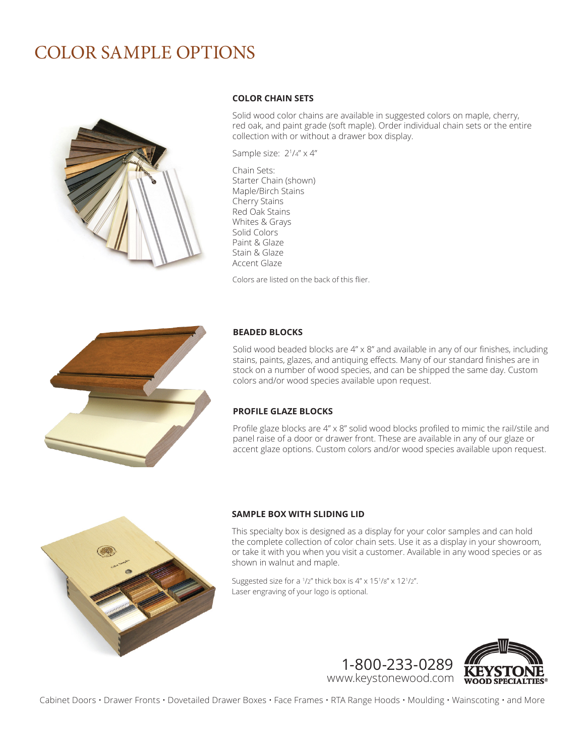# COLOR SAMPLE OPTIONS



#### **COLOR CHAIN SETS**

Solid wood color chains are available in suggested colors on maple, cherry, red oak, and paint grade (soft maple). Order individual chain sets or the entire collection with or without a drawer box display.

Sample size: 21 /4" x 4"

Chain Sets: Starter Chain (shown) Maple/Birch Stains Cherry Stains Red Oak Stains Whites & Grays Solid Colors Paint & Glaze Stain & Glaze Accent Glaze

Colors are listed on the back of this flier.



#### **BEADED BLOCKS**

Solid wood beaded blocks are 4" x 8" and available in any of our finishes, including stains, paints, glazes, and antiquing effects. Many of our standard finishes are in stock on a number of wood species, and can be shipped the same day. Custom colors and/or wood species available upon request.

#### **PROFILE GLAZE BLOCKS**

Profile glaze blocks are 4" x 8" solid wood blocks profiled to mimic the rail/stile and panel raise of a door or drawer front. These are available in any of our glaze or accent glaze options. Custom colors and/or wood species available upon request.



#### **SAMPLE BOX WITH SLIDING LID**

This specialty box is designed as a display for your color samples and can hold the complete collection of color chain sets. Use it as a display in your showroom, or take it with you when you visit a customer. Available in any wood species or as shown in walnut and maple.

Suggested size for a 1/2" thick box is 4" x 151/8" x 121/2". Laser engraving of your logo is optional.



Cabinet Doors • Drawer Fronts • Dovetailed Drawer Boxes • Face Frames • RTA Range Hoods • Moulding • Wainscoting • and More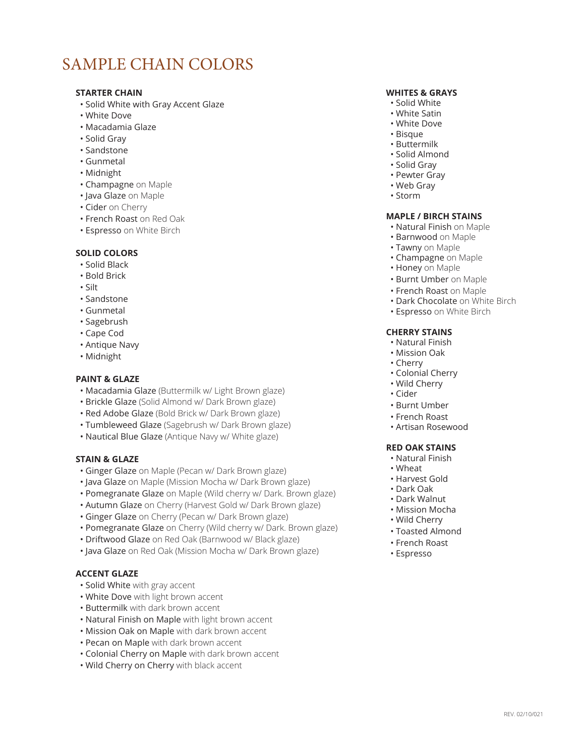# SAMPLE CHAIN COLORS

# **STARTER CHAIN**

- Solid White with Gray Accent Glaze
- White Dove
- Macadamia Glaze
- Solid Gray
- Sandstone
- Gunmetal
- Midnight
- Champagne on Maple
- Java Glaze on Maple
- Cider on Cherry
- French Roast on Red Oak
- Espresso on White Birch

### **SOLID COLORS**

- Solid Black
- Bold Brick
- Silt
- Sandstone
- Gunmetal
- Sagebrush
- Cape Cod
- Antique Navy
- Midnight

#### **PAINT & GLAZE**

- Macadamia Glaze (Buttermilk w/ Light Brown glaze)
- Brickle Glaze (Solid Almond w/ Dark Brown glaze)
- Red Adobe Glaze (Bold Brick w/ Dark Brown glaze)
- Tumbleweed Glaze (Sagebrush w/ Dark Brown glaze)
- Nautical Blue Glaze (Antique Navy w/ White glaze)

#### **STAIN & GLAZE**

- Ginger Glaze on Maple (Pecan w/ Dark Brown glaze)
- Java Glaze on Maple (Mission Mocha w/ Dark Brown glaze)
- Pomegranate Glaze on Maple (Wild cherry w/ Dark. Brown glaze)
- Autumn Glaze on Cherry (Harvest Gold w/ Dark Brown glaze)
- Ginger Glaze on Cherry (Pecan w/ Dark Brown glaze)
- Pomegranate Glaze on Cherry (Wild cherry w/ Dark. Brown glaze)
- Driftwood Glaze on Red Oak (Barnwood w/ Black glaze)
- Java Glaze on Red Oak (Mission Mocha w/ Dark Brown glaze)

# **ACCENT GLAZE**

- Solid White with gray accent
- White Dove with light brown accent
- Buttermilk with dark brown accent
- Natural Finish on Maple with light brown accent
- Mission Oak on Maple with dark brown accent
- Pecan on Maple with dark brown accent
- Colonial Cherry on Maple with dark brown accent
- Wild Cherry on Cherry with black accent

#### **WHITES & GRAYS**

- Solid White
- White Satin
- White Dove
- Bisque
- Buttermilk
- Solid Almond
- Solid Gray
- Pewter Gray
- Web Gray
- Storm

# **MAPLE / BIRCH STAINS**

- Natural Finish on Maple
- Barnwood on Maple
- Tawny on Maple
- Champagne on Maple
- Honey on Maple
- Burnt Umber on Maple
- French Roast on Maple
- Dark Chocolate on White Birch
- Espresso on White Birch

### **CHERRY STAINS**

- Natural Finish
- Mission Oak
- Cherry
- Colonial Cherry
- Wild Cherry
- Cider
- Burnt Umber
- French Roast
- Artisan Rosewood

# **RED OAK STAINS**

- Natural Finish
- Wheat
- Harvest Gold
- Dark Oak
- Dark Walnut
- Mission Mocha
- Wild Cherry
- Toasted Almond
- French Roast
- Espresso